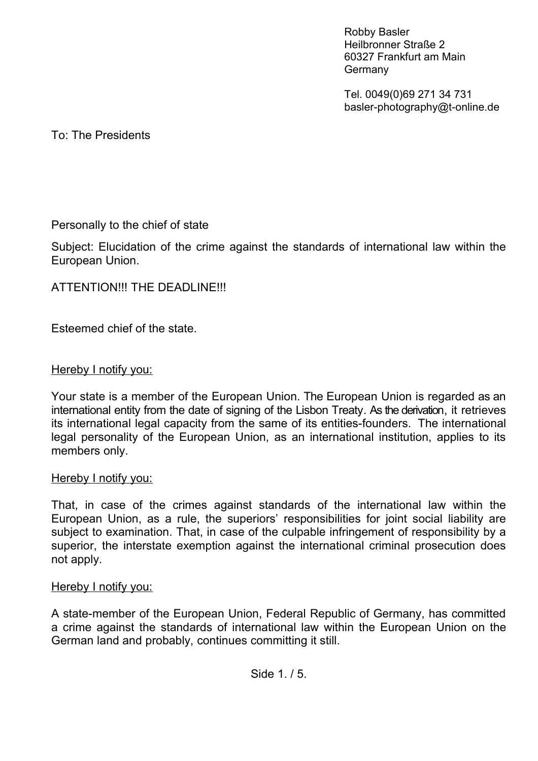Robby Basler Heilbronner Straße 2 60327 Frankfurt am Main **Germany** 

Tel. 0049(0)69 271 34 731 basler-photography@t-online.de

To: The Presidents

## Personally to the chief of state

Subject: Elucidation of the crime against the standards of international law within the European Union.

## ATTENTION!!! THE DEADLINE!!!

Esteemed chief of the state.

#### Hereby I notify you:

Your state is a member of the European Union. The European Union is regarded as an international entity from the date of signing of the Lisbon Treaty. As the derivation, it retrieves its international legal capacity from the same of its entities-founders. The international legal personality of the European Union, as an international institution, applies to its members only.

#### Hereby I notify you:

That, in case of the crimes against standards of the international law within the European Union, as a rule, the superiors' responsibilities for joint social liability are subject to examination. That, in case of the culpable infringement of responsibility by a superior, the interstate exemption against the international criminal prosecution does not apply.

#### Hereby I notify you:

A state-member of the European Union, Federal Republic of Germany, has committed a crime against the standards of international law within the European Union on the German land and probably, continues committing it still.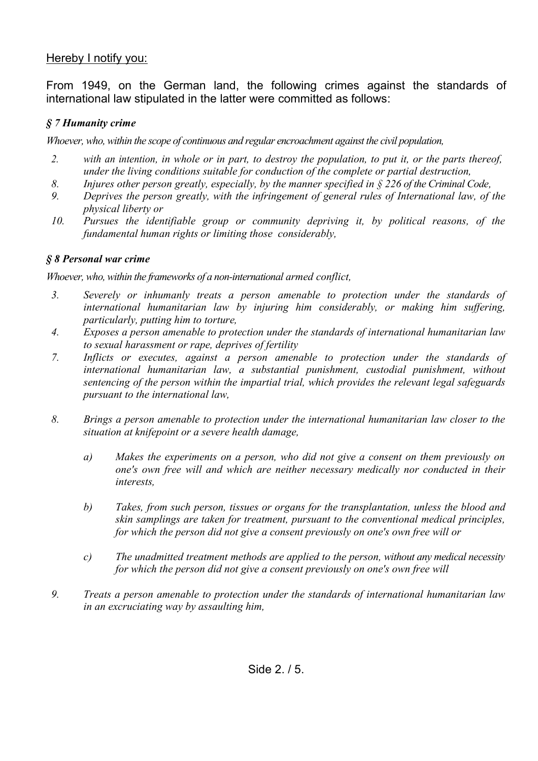## Hereby I notify you:

From 1949, on the German land, the following crimes against the standards of international law stipulated in the latter were committed as follows:

### *§ 7 Humanity crime*

*Whoever, who, within the scope of continuous and regular encroachment against the civil population,*

- *2. with an intention, in whole or in part, to destroy the population, to put it, or the parts thereof, under the living conditions suitable for conduction of the complete or partial destruction,*
- *8. Injures other person greatly, especially, by the manner specified in § 226 of the Criminal Code,*
- *9. Deprives the person greatly, with the infringement of general rules of International law, of the physical liberty or*
- *10. Pursues the identifiable group or community depriving it, by political reasons, of the fundamental human rights or limiting those considerably,*

#### *§ 8 Personal war crime*

*Whoever, who, within the frameworks of a non-international armed conflict,*

- *3. Severely or inhumanly treats a person amenable to protection under the standards of international humanitarian law by injuring him considerably, or making him suffering, particularly, putting him to torture,*
- *4. Exposes a person amenable to protection under the standards of international humanitarian law to sexual harassment or rape, deprives of fertility*
- *7. Inflicts or executes, against a person amenable to protection under the standards of international humanitarian law, a substantial punishment, custodial punishment, without sentencing of the person within the impartial trial, which provides the relevant legal safeguards pursuant to the international law,*
- *8. Brings a person amenable to protection under the international humanitarian law closer to the situation at knifepoint or a severe health damage,* 
	- *a) Makes the experiments on a person, who did not give a consent on them previously on one's own free will and which are neither necessary medically nor conducted in their interests,*
	- *b) Takes, from such person, tissues or organs for the transplantation, unless the blood and skin samplings are taken for treatment, pursuant to the conventional medical principles, for which the person did not give a consent previously on one's own free will or*
	- *c) The unadmitted treatment methods are applied to the person, without any medical necessity for which the person did not give a consent previously on one's own free will*
- *9. Treats a person amenable to protection under the standards of international humanitarian law in an excruciating way by assaulting him,*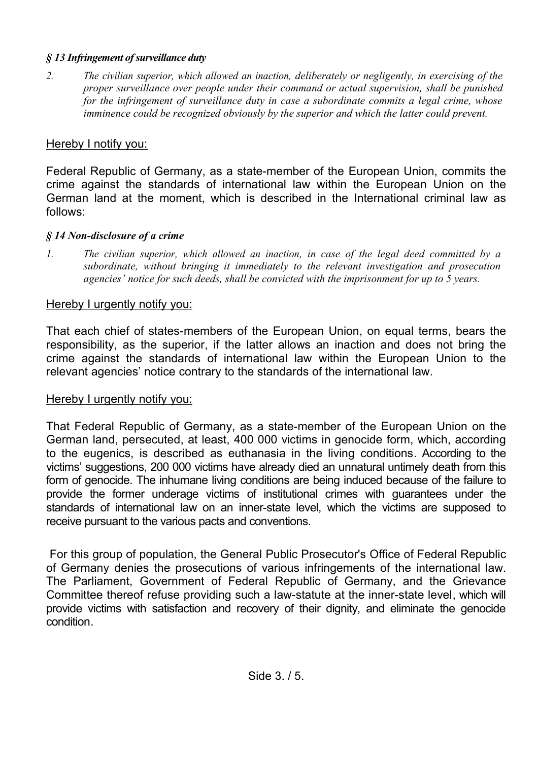#### *§ 13 Infringement of surveillance duty*

*2. The civilian superior, which allowed an inaction, deliberately or negligently, in exercising of the proper surveillance over people under their command or actual supervision, shall be punished for the infringement of surveillance duty in case a subordinate commits a legal crime, whose imminence could be recognized obviously by the superior and which the latter could prevent.*

## Hereby I notify you:

Federal Republic of Germany, as a state-member of the European Union, commits the crime against the standards of international law within the European Union on the German land at the moment, which is described in the International criminal law as follows:

## *§ 14 Non-disclosure of a crime*

*1. The civilian superior, which allowed an inaction, in case of the legal deed committed by a subordinate, without bringing it immediately to the relevant investigation and prosecution agencies' notice for such deeds, shall be convicted with the imprisonment for up to 5 years.* 

# Hereby I urgently notify you:

That each chief of states-members of the European Union, on equal terms, bears the responsibility, as the superior, if the latter allows an inaction and does not bring the crime against the standards of international law within the European Union to the relevant agencies' notice contrary to the standards of the international law.

# Hereby I urgently notify you:

That Federal Republic of Germany, as a state-member of the European Union on the German land, persecuted, at least, 400 000 victims in genocide form, which, according to the eugenics, is described as euthanasia in the living conditions. According to the victims' suggestions, 200 000 victims have already died an unnatural untimely death from this form of genocide. The inhumane living conditions are being induced because of the failure to provide the former underage victims of institutional crimes with guarantees under the standards of international law on an inner-state level, which the victims are supposed to receive pursuant to the various pacts and conventions.

 For this group of population, the General Public Prosecutor's Office of Federal Republic of Germany denies the prosecutions of various infringements of the international law. The Parliament, Government of Federal Republic of Germany, and the Grievance Committee thereof refuse providing such a law-statute at the inner-state level, which will provide victims with satisfaction and recovery of their dignity, and eliminate the genocide condition.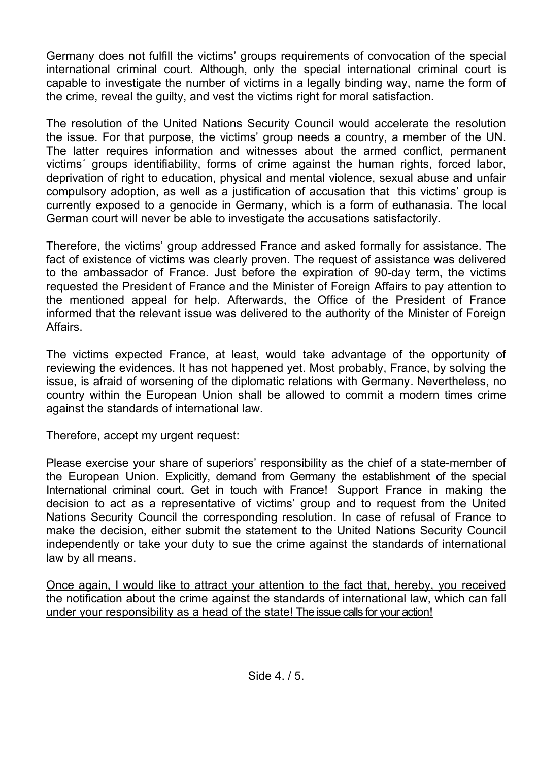Germany does not fulfill the victims' groups requirements of convocation of the special international criminal court. Although, only the special international criminal court is capable to investigate the number of victims in a legally binding way, name the form of the crime, reveal the guilty, and vest the victims right for moral satisfaction.

The resolution of the United Nations Security Council would accelerate the resolution the issue. For that purpose, the victims' group needs a country, a member of the UN. The latter requires information and witnesses about the armed conflict, permanent victims´ groups identifiability, forms of crime against the human rights, forced labor, deprivation of right to education, physical and mental violence, sexual abuse and unfair compulsory adoption, as well as a justification of accusation that this victims' group is currently exposed to a genocide in Germany, which is a form of euthanasia. The local German court will never be able to investigate the accusations satisfactorily.

Therefore, the victims' group addressed France and asked formally for assistance. The fact of existence of victims was clearly proven. The request of assistance was delivered to the ambassador of France. Just before the expiration of 90-day term, the victims requested the President of France and the Minister of Foreign Affairs to pay attention to the mentioned appeal for help. Afterwards, the Office of the President of France informed that the relevant issue was delivered to the authority of the Minister of Foreign Affairs.

The victims expected France, at least, would take advantage of the opportunity of reviewing the evidences. It has not happened yet. Most probably, France, by solving the issue, is afraid of worsening of the diplomatic relations with Germany. Nevertheless, no country within the European Union shall be allowed to commit a modern times crime against the standards of international law.

## Therefore, accept my urgent request:

Please exercise your share of superiors' responsibility as the chief of a state-member of the European Union. Explicitly, demand from Germany the establishment of the special International criminal court. Get in touch with France! Support France in making the decision to act as a representative of victims' group and to request from the United Nations Security Council the corresponding resolution. In case of refusal of France to make the decision, either submit the statement to the United Nations Security Council independently or take your duty to sue the crime against the standards of international law by all means.

Once again, I would like to attract your attention to the fact that, hereby, you received the notification about the crime against the standards of international law, which can fall under your responsibility as a head of the state! The issue calls for your action!